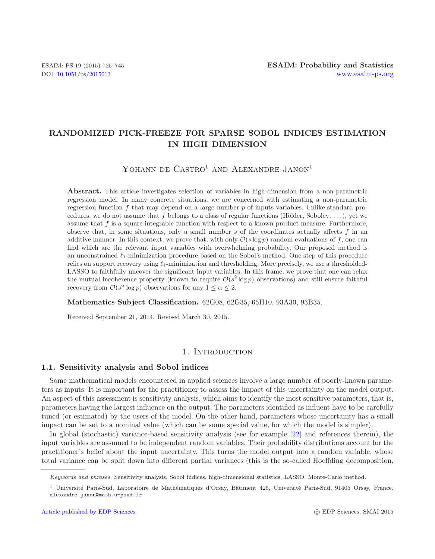# **RANDOMIZED PICK-FREEZE FOR SPARSE SOBOL INDICES ESTIMATION IN HIGH DIMENSION**

YOHANN DE  $CASTRO<sup>1</sup>$  AND ALEXANDRE JANON<sup>1</sup>

**Abstract.** This article investigates selection of variables in high-dimension from a non-parametric regression model. In many concrete situations, we are concerned with estimating a non-parametric regression function f that may depend on a large number  $p$  of inputs variables. Unlike standard procedures, we do not assume that f belongs to a class of regular functions (Hölder, Sobolev, ...), yet we assume that f is a square-integrable function with respect to a known product measure. Furthermore, observe that, in some situations, only a small number s of the coordinates actually affects  $f$  in an additive manner. In this context, we prove that, with only  $\mathcal{O}(s \log p)$  random evaluations of f, one can find which are the relevant input variables with overwhelming probability. Our proposed method is an unconstrained  $\ell_1$ -minimization procedure based on the Sobol's method. One step of this procedure relies on support recovery using  $\ell_1$ -minimization and thresholding. More precisely, we use a thresholded-LASSO to faithfully uncover the significant input variables. In this frame, we prove that one can relax the mutual incoherence property (known to require  $\mathcal{O}(s^2 \log p)$  observations) and still ensure faithful recovery from  $\mathcal{O}(s^{\alpha} \log p)$  observations for any  $1 \leq \alpha \leq 2$ .

## **Mathematics Subject Classification.** 62G08, 62G35, 65H10, 93A30, 93B35.

Received September 21, 2014. Revised March 30, 2015.

#### 1. INTRODUCTION

#### <span id="page-0-1"></span><span id="page-0-0"></span>**1.1. Sensitivity analysis and Sobol indices**

Some mathematical models encountered in applied sciences involve a large number of poorly-known parameters as inputs. It is important for the practitioner to assess the impact of this uncertainty on the model output. An aspect of this assessment is sensitivity analysis, which aims to identify the most sensitive parameters, that is, parameters having the largest influence on the output. The parameters identified as influent have to be carefully tuned (or estimated) by the users of the model. On the other hand, parameters whose uncertainty has a small impact can be set to a nominal value (which can be some special value, for which the model is simpler).

In global (stochastic) variance-based sensitivity analysis (see for example [\[22\]](#page-19-0) and references therein), the input variables are assumed to be independent random variables. Their probability distributions account for the practitioner's belief about the input uncertainty. This turns the model output into a random variable, whose total variance can be split down into different partial variances (this is the so-called Hoeffding decomposition,

Keywords and phrases. Sensitivity analysis, Sobol indices, high-dimensional statistics, LASSO, Monte-Carlo method.

<sup>&</sup>lt;sup>1</sup> Université Paris-Sud, Laboratoire de Mathématiques d'Orsay, Bâtiment 425, Université Paris-Sud, 91405 Orsay, France. alexandre.janon@math.u-psud.fr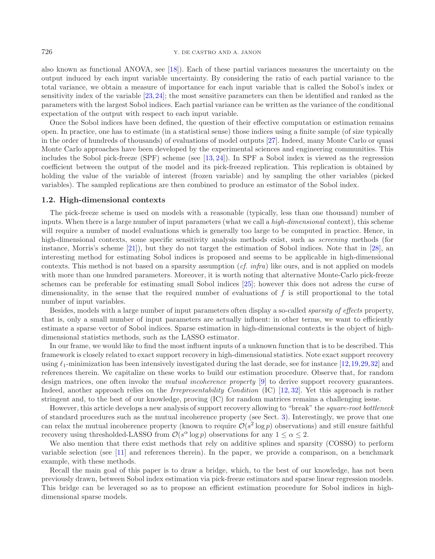also known as functional ANOVA, see [\[18](#page-19-1)]). Each of these partial variances measures the uncertainty on the output induced by each input variable uncertainty. By considering the ratio of each partial variance to the total variance, we obtain a measure of importance for each input variable that is called the Sobol's index or sensitivity index of the variable [\[23,](#page-19-2)[24\]](#page-19-3); the most sensitive parameters can then be identified and ranked as the parameters with the largest Sobol indices. Each partial variance can be written as the variance of the conditional expectation of the output with respect to each input variable.

Once the Sobol indices have been defined, the question of their effective computation or estimation remains open. In practice, one has to estimate (in a statistical sense) those indices using a finite sample (of size typically in the order of hundreds of thousands) of evaluations of model outputs [\[27](#page-20-0)]. Indeed, many Monte Carlo or quasi Monte Carlo approaches have been developed by the experimental sciences and engineering communities. This includes the Sobol pick-freeze (SPF) scheme (see [\[13](#page-19-4), [24\]](#page-19-3)). In SPF a Sobol index is viewed as the regression coefficient between the output of the model and its pick-freezed replication. This replication is obtained by holding the value of the variable of interest (frozen variable) and by sampling the other variables (picked variables). The sampled replications are then combined to produce an estimator of the Sobol index.

## <span id="page-1-0"></span>**1.2. High-dimensional contexts**

The pick-freeze scheme is used on models with a reasonable (typically, less than one thousand) number of inputs. When there is a large number of input parameters (what we call a *high-dimensional* context), this scheme will require a number of model evaluations which is generally too large to be computed in practice. Hence, in high-dimensional contexts, some specific sensitivity analysis methods exist, such as *screening* methods (for instance, Morris's scheme [\[21\]](#page-19-5)), but they do not target the estimation of Sobol indices. Note that in [\[28\]](#page-20-1), an interesting method for estimating Sobol indices is proposed and seems to be applicable in high-dimensional contexts. This method is not based on a sparsity assumption (*cf. infra*) like ours, and is not applied on models with more than one hundred parameters. Moreover, it is worth noting that alternative Monte-Carlo pick-freeze schemes can be preferable for estimating small Sobol indices [\[25\]](#page-19-6); however this does not adress the curse of dimensionality, in the sense that the required number of evaluations of  $f$  is still proportional to the total number of input variables.

Besides, models with a large number of input parameters often display a so-called *sparsity of effects* property, that is, only a small number of input parameters are actually influent: in other terms, we want to efficiently estimate a sparse vector of Sobol indices. Sparse estimation in high-dimensional contexts is the object of highdimensional statistics methods, such as the LASSO estimator.

In our frame, we would like to find the most influent inputs of a unknown function that is to be described. This framework is closely related to exact support recovery in high-dimensional statistics. Note exact support recovery using  $\ell_1$ -minimization has been intensively investigated during the last decade, see for instance [\[12](#page-19-7),[19,](#page-19-8)[29](#page-20-2)[,32](#page-20-3)] and references therein. We capitalize on these works to build our estimation procedure. Observe that, for random design matrices, one often invoke the *mutual incoherence property* [\[9](#page-19-9)] to derive support recovery guarantees. Indeed, another approach relies on the *Irrepresentability Condition* (IC) [\[12](#page-19-7), [32\]](#page-20-3). Yet this approach is rather stringent and, to the best of our knowledge, proving (IC) for random matrices remains a challenging issue.

However, this article develops a new analysis of support recovery allowing to "break" the *square-root bottleneck* of standard procedures such as the mutual incoherence property (see Sect. [3\)](#page-10-0). Interestingly, we prove that one can relax the mutual incoherence property (known to require  $\mathcal{O}(s^2 \log p)$  observations) and still ensure faithful recovery using thresholded-LASSO from  $\mathcal{O}(s^{\alpha} \log p)$  observations for any  $1 \leq \alpha \leq 2$ .

We also mention that there exist methods that rely on additive splines and sparsity (COSSO) to perform variable selection (see [\[11](#page-19-10)] and references therein). In the paper, we provide a comparison, on a benchmark example, with these methods.

Recall the main goal of this paper is to draw a bridge, which, to the best of our knowledge, has not been previously drawn, between Sobol index estimation via pick-freeze estimators and sparse linear regression models. This bridge can be leveraged so as to propose an efficient estimation procedure for Sobol indices in highdimensional sparse models.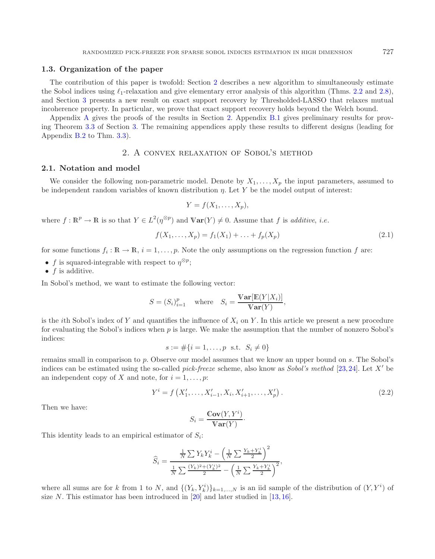#### **1.3. Organization of the paper**

The contribution of this paper is twofold: Section [2](#page-2-0) describes a new algorithm to simultaneously estimate the Sobol indices using  $\ell_1$ -relaxation and give elementary error analysis of this algorithm (Thms. [2.2](#page-4-0) and [2.8\)](#page-6-0), and Section [3](#page-10-0) presents a new result on exact support recovery by Thresholded-LASSO that relaxes mutual incoherence property. In particular, we prove that exact support recovery holds beyond the Welch bound.

<span id="page-2-0"></span>Appendix [A](#page-0-0) gives the proofs of the results in Section [2.](#page-2-0) Appendix [B.1](#page-2-1) gives preliminary results for proving Theorem [3.3](#page-11-0) of Section [3.](#page-10-0) The remaining appendices apply these results to different designs (leading for Appendix [B.2](#page-3-0) to Thm. [3.3\)](#page-11-0).

## 2. A convex relaxation of Sobol's method

#### <span id="page-2-1"></span>**2.1. Notation and model**

We consider the following non-parametric model. Denote by  $X_1, \ldots, X_p$  the input parameters, assumed to be independent random variables of known distribution  $\eta$ . Let Y be the model output of interest:

<span id="page-2-3"></span>
$$
Y = f(X_1, \ldots, X_p),
$$

where  $f: \mathbb{R}^p \to \mathbb{R}$  is so that  $Y \in L^2(\eta^{\otimes p})$  and  $\text{Var}(Y) \neq 0$ . Assume that f is *additive*, *i.e.* 

$$
f(X_1, ..., X_p) = f_1(X_1) + ... + f_p(X_p)
$$
\n(2.1)

for some functions  $f_i : \mathbb{R} \to \mathbb{R}$ ,  $i = 1, \ldots, p$ . Note the only assumptions on the regression function f are:

- f is squared-integrable with respect to  $\eta^{\otimes p}$ ;
- $\bullet$  f is additive.

In Sobol's method, we want to estimate the following vector:

<span id="page-2-2"></span>
$$
S = (S_i)_{i=1}^p \quad \text{where} \quad S_i = \frac{\text{Var}[\mathbb{E}(Y|X_i)]}{\text{Var}(Y)},
$$

is the *i*th Sobol's index of Y and quantifies the influence of  $X_i$  on Y. In this article we present a new procedure for evaluating the Sobol's indices when  $p$  is large. We make the assumption that the number of nonzero Sobol's indices:

$$
s := \#\{i = 1, \dots, p \text{ s.t. } S_i \neq 0\}
$$

remains small in comparison to p. Observe our model assumes that we know an upper bound on s. The Sobol's indices can be estimated using the so-called *pick-freeze* scheme, also know as *Sobol's method* [\[23](#page-19-2),[24](#page-19-3)]. Let X be an independent copy of X and note, for  $i = 1, \ldots, p$ :

$$
Y^{i} = f\left(X'_{1}, \ldots, X'_{i-1}, X_{i}, X'_{i+1}, \ldots, X'_{p}\right).
$$
\n(2.2)

Then we have:

$$
S_i = \frac{\mathbb{C}\mathbf{ov}(Y, Y^i)}{\mathbb{V}\mathbf{ar}(Y)}.
$$

This identity leads to an empirical estimator of  $S_i$ :

$$
\widehat{S}_i = \frac{\frac{1}{N} \sum Y_k Y_k^i - \left(\frac{1}{N} \sum \frac{Y_k + Y_k^i}{2}\right)^2}{\frac{1}{N} \sum \frac{(Y_k)^2 + (Y_k^i)^2}{2} - \left(\frac{1}{N} \sum \frac{Y_k + Y_k^i}{2}\right)^2},
$$

where all sums are for k from 1 to N, and  $\{(Y_k, Y_k^i)\}_{k=1,\dots,N}$  is an iid sample of the distribution of  $(Y, Y^i)$  of size N. This estimator has been introduced in  $[20]$  and later studied in  $[13, 16]$  $[13, 16]$  $[13, 16]$ .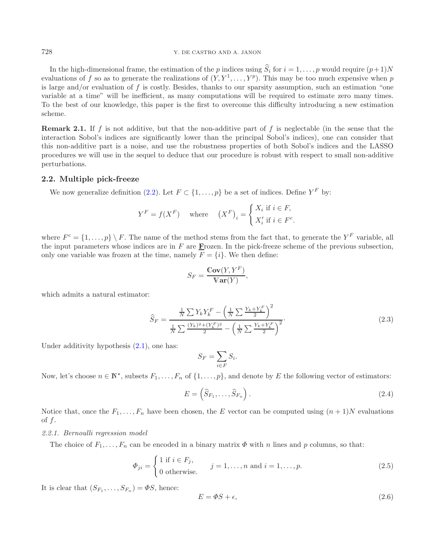#### 728 Y. DE CASTRO AND A. JANON

In the high-dimensional frame, the estimation of the p indices using  $\widehat{S}_i$  for  $i = 1, \ldots, p$  would require  $(p+1)N$ evaluations of f so as to generate the realizations of  $(Y, Y^1, \ldots, Y^p)$ . This may be too much expensive when p is large and/or evaluation of  $f$  is costly. Besides, thanks to our sparsity assumption, such an estimation "one variable at a time" will be inefficient, as many computations will be required to estimate zero many times. To the best of our knowledge, this paper is the first to overcome this difficulty introducing a new estimation scheme.

**Remark 2.1.** If f is not additive, but that the non-additive part of f is neglectable (in the sense that the interaction Sobol's indices are significantly lower than the principal Sobol's indices), one can consider that this non-additive part is a noise, and use the robustness properties of both Sobol's indices and the LASSO procedures we will use in the sequel to deduce that our procedure is robust with respect to small non-additive perturbations.

#### <span id="page-3-0"></span>**2.2. Multiple pick-freeze**

We now generalize definition [\(2.2\)](#page-2-2). Let  $F \subset \{1,\ldots,p\}$  be a set of indices. Define  $Y^F$  by:

<span id="page-3-3"></span>
$$
Y^F = f(X^F) \quad \text{where} \quad (X^F)_i = \begin{cases} X_i \text{ if } i \in F, \\ X'_i \text{ if } i \in F^c. \end{cases}
$$

where  $F^c = \{1,\ldots,p\} \setminus F$ . The name of the method stems from the fact that, to generate the  $Y^F$  variable, all the input parameters whose indices are in F are **F**rozen. In the pick-freeze scheme of the previous subsection, only one variable was frozen at the time, namely  $F = \{i\}$ . We then define:

<span id="page-3-4"></span>
$$
S_F = \frac{\mathbb{C}\mathbf{ov}(Y, Y^F)}{\mathbb{V}\mathbf{ar}(Y)},
$$

which admits a natural estimator:

$$
\widehat{S}_F = \frac{\frac{1}{N} \sum Y_k Y_k^F - \left(\frac{1}{N} \sum \frac{Y_k + Y_k^F}{2}\right)^2}{\frac{1}{N} \sum \frac{(Y_k)^2 + (Y_k^F)^2}{2} - \left(\frac{1}{N} \sum \frac{Y_k + Y_k^F}{2}\right)^2}.
$$
\n(2.3)

Under additivity hypothesis  $(2.1)$ , one has:

<span id="page-3-2"></span>
$$
S_F = \sum_{i \in F} S_i.
$$

Now, let's choose  $n \in \mathbb{N}^*$ , subsets  $F_1, \ldots, F_n$  of  $\{1, \ldots, p\}$ , and denote by E the following vector of estimators:

<span id="page-3-1"></span>
$$
E = \left(\widehat{S}_{F_1}, \dots, \widehat{S}_{F_n}\right). \tag{2.4}
$$

Notice that, once the  $F_1,\ldots,F_n$  have been chosen, the E vector can be computed using  $(n+1)N$  evaluations of  $f$ .

#### *2.2.1. Bernoulli regression model*

The choice of  $F_1,\ldots,F_n$  can be encoded in a binary matrix  $\Phi$  with n lines and p columns, so that:

$$
\Phi_{ji} = \begin{cases} 1 \text{ if } i \in F_j, \\ 0 \text{ otherwise.} \end{cases} \quad j = 1, \dots, n \text{ and } i = 1, \dots, p. \tag{2.5}
$$

It is clear that  $(S_{F_1}, \ldots, S_{F_n}) = \Phi S$ , hence:

$$
E = \Phi S + \epsilon,\tag{2.6}
$$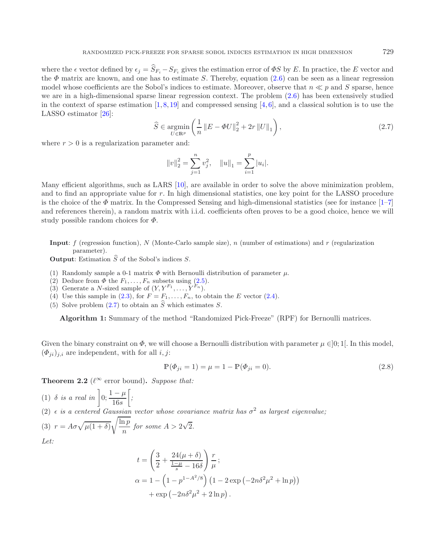<span id="page-4-1"></span>where the  $\epsilon$  vector defined by  $\epsilon_i = \hat{S}_{F_i} - S_{F_i}$  gives the estimation error of  $\Phi S$  by E. In practice, the E vector and the  $\Phi$  matrix are known, and one has to estimate S. Thereby, equation [\(2.6\)](#page-3-1) can be seen as a linear regression model whose coefficients are the Sobol's indices to estimate. Moreover, observe that  $n \ll p$  and S sparse, hence we are in a high-dimensional sparse linear regression context. The problem [\(2.6\)](#page-3-1) has been extensively studied in the context of sparse estimation  $[1, 8, 19]$  $[1, 8, 19]$  $[1, 8, 19]$  $[1, 8, 19]$  $[1, 8, 19]$  and compressed sensing  $[4, 6]$  $[4, 6]$  $[4, 6]$  $[4, 6]$ , and a classical solution is to use the LASSO estimator [\[26\]](#page-20-4):

$$
\widehat{S} \in \underset{U \in \mathbb{R}^p}{\text{argmin}} \left( \frac{1}{n} \left\| E - \Phi U \right\|_2^2 + 2r \left\| U \right\|_1 \right),\tag{2.7}
$$

where  $r > 0$  is a regularization parameter and:

$$
||v||_2^2 = \sum_{j=1}^n v_j^2
$$
,  $||u||_1 = \sum_{i=1}^p |u_i|$ .

Many efficient algorithms, such as LARS [\[10](#page-19-17)], are available in order to solve the above minimization problem, and to find an appropriate value for r. In high dimensional statistics, one key point for the LASSO procedure is the choice of the  $\Phi$  matrix. In the Compressed Sensing and high-dimensional statistics (see for instance [\[1](#page-19-13)[–7\]](#page-19-18) and references therein), a random matrix with i.i.d. coefficients often proves to be a good choice, hence we will study possible random choices for  $\Phi$ .

**Input**: f (regression function), N (Monte-Carlo sample size), n (number of estimations) and r (regularization parameter).

**Output**: Estimation  $\widehat{S}$  of the Sobol's indices S.

- (1) Randomly sample a 0-1 matrix  $\Phi$  with Bernoulli distribution of parameter  $\mu$ .
- (2) Deduce from  $\Phi$  the  $F_1, \ldots, F_n$  subsets using  $(2.5)$ .
- (3) Generate a N-sized sample of  $(Y, Y^{F_1}, \ldots, Y^{F_n})$ .
- (4) Use this sample in [\(2.3\)](#page-3-3), for  $F = F_1, \ldots, F_n$ , to obtain the E vector [\(2.4\)](#page-3-4).
- (5) Solve problem  $(2.7)$  to obtain an  $\hat{S}$  which estimates S.

**Algorithm 1:** Summary of the method "Randomized Pick-Freeze" (RPF) for Bernoulli matrices.

Given the binary constraint on  $\Phi$ , we will choose a Bernoulli distribution with parameter  $\mu \in ]0;1[$ . In this model,  $(\Phi_{ii})_{i,i}$  are independent, with for all i, j:

$$
\mathbb{P}(\Phi_{ji} = 1) = \mu = 1 - \mathbb{P}(\Phi_{ji} = 0).
$$
\n(2.8)

<span id="page-4-0"></span>**Theorem 2.2** ( $\ell^{\infty}$  error bound). *Suppose that:* 

(1) 
$$
\delta
$$
 is a real in  $\left] 0; \frac{1-\mu}{16s} \right[$ ;  
\n(2)  $\epsilon$  is a centered Gaussian vector whose covariance matrix has  $\sigma^2$  as largest eigenvalue;  
\n(3)  $r = A\sigma \sqrt{\mu(1+\delta)} \sqrt{\frac{\ln p}{n}}$  for some  $A > 2\sqrt{2}$ .  
\nLet:  
\n
$$
t = \left( \frac{3}{2} + \frac{24(\mu+\delta)}{\frac{1-\mu}{2} - 16\delta} \right) \frac{r}{\mu};
$$

$$
t = \left(\frac{1}{2} + \frac{1-\mu}{s} - 16\delta\right)\overline{\mu};
$$
  
\n
$$
\alpha = 1 - \left(1 - p^{1-A^2/8}\right)\left(1 - 2\exp\left(-2n\delta^2\mu^2 + \ln p\right)\right)
$$
  
\n
$$
+ \exp\left(-2n\delta^2\mu^2 + 2\ln p\right).
$$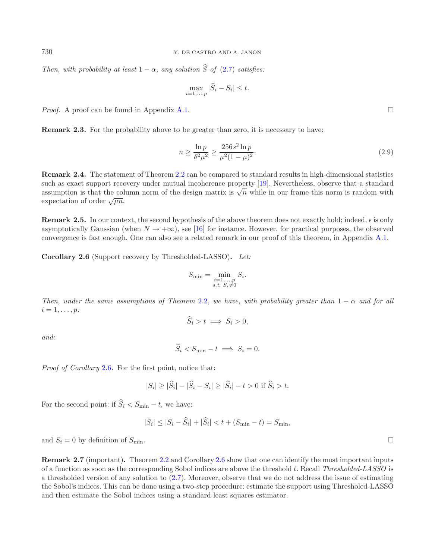*Then, with probability at least*  $1 - \alpha$ *, any solution*  $\hat{S}$  *of* [\(2.7\)](#page-4-1) *satisfies:* 

<span id="page-5-1"></span>
$$
\max_{i=1,\dots,p} |\widehat{S}_i - S_i| \le t.
$$

*Proof.* A proof can be found in Appendix [A.1.](#page-0-1)  $\Box$ 

<span id="page-5-3"></span>**Remark 2.3.** For the probability above to be greater than zero, it is necessary to have:

$$
n \ge \frac{\ln p}{\delta^2 \mu^2} \ge \frac{256s^2 \ln p}{\mu^2 (1 - \mu)^2}.
$$
\n(2.9)

<span id="page-5-4"></span>**Remark 2.4.** The statement of Theorem [2.2](#page-4-0) can be compared to standard results in high-dimensional statistics such as exact support recovery under mutual incoherence property [\[19](#page-19-8)]. Nevertheless, observe that a standard assumption is that the column norm of the design matrix is  $\sqrt{n}$  while in our frame this norm is random with expectation of order  $\sqrt{\mu n}$ .

<span id="page-5-2"></span>**Remark 2.5.** In our context, the second hypothesis of the above theorem does not exactly hold; indeed,  $\epsilon$  is only asymptotically Gaussian (when  $N \to +\infty$ ), see [\[16\]](#page-19-12) for instance. However, for practical purposes, the observed convergence is fast enough. One can also see a related remark in our proof of this theorem, in Appendix [A.1.](#page-0-1)

<span id="page-5-0"></span>**Corollary 2.6** (Support recovery by Thresholded-LASSO)**.** *Let:*

$$
S_{\min} = \min_{\substack{i=1,\ldots,p\\s.t.\ S_i \neq 0}} S_i.
$$

*Then, under the same assumptions of Theorem* [2.2](#page-4-0)*, we have, with probability greater than*  $1 - \alpha$  *and for all*  $i = 1, \ldots, p$ *:* 

$$
S_i > t \implies S_i > 0,
$$

*and:*

$$
S_i < S_{\min} - t \implies S_i = 0.
$$

*Proof of Corollary* [2.6](#page-5-0)*.* For the first point, notice that:

$$
|S_i| \ge |\widehat{S}_i| - |\widehat{S}_i - S_i| \ge |\widehat{S}_i| - t > 0 \text{ if } \widehat{S}_i > t.
$$

For the second point: if  $\widehat{S}_i < S_{\min} - t$ , we have:

$$
|S_i| \le |S_i - \hat{S}_i| + |\hat{S}_i| < t + (S_{\min} - t) = S_{\min},
$$

and  $S_i = 0$  by definition of  $S_{\min}$ .

**Remark 2.7** (important)**.** Theorem [2.2](#page-4-0) and Corollary [2.6](#page-5-0) show that one can identify the most important inputs of a function as soon as the corresponding Sobol indices are above the threshold t. Recall *Thresholded-LASSO* is a thresholded version of any solution to [\(2.7\)](#page-4-1). Moreover, observe that we do not address the issue of estimating the Sobol's indices. This can be done using a two-step procedure: estimate the support using Thresholed-LASSO and then estimate the Sobol indices using a standard least squares estimator.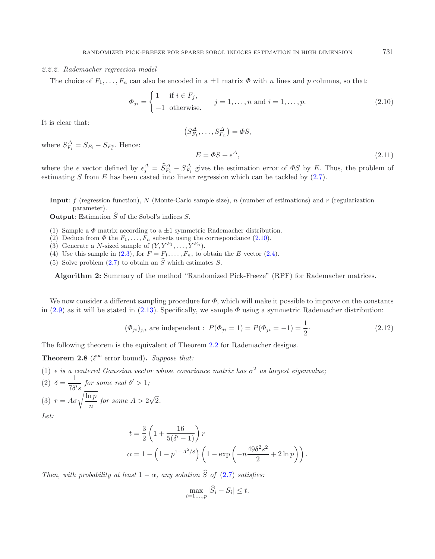#### *2.2.2. Rademacher regression model*

The choice of  $F_1,\ldots,F_n$  can also be encoded in a  $\pm 1$  matrix  $\Phi$  with n lines and p columns, so that:

$$
\Phi_{ji} = \begin{cases} 1 & \text{if } i \in F_j, \\ -1 & \text{otherwise.} \end{cases}
$$
  $j = 1, \dots, n \text{ and } i = 1, \dots, p.$  (2.10)

It is clear that:

<span id="page-6-2"></span><span id="page-6-1"></span><span id="page-6-0"></span>
$$
(S_{F_1}^{\Delta}, \dots, S_{F_n}^{\Delta}) = \Phi S,
$$
  

$$
E = \Phi S + \epsilon^{\Delta}, \qquad (2.11)
$$

where  $S_{F_i}^{\Delta} = S_{F_i} - S_{F_i^c}$ . Hence:

where the  $\epsilon$  vector defined by  $\epsilon_j^{\Delta} = \tilde{S}_{F_i}^{\Delta} - S_{F_i}^{\Delta}$  gives the estimation error of  $\Phi S$  by E. Thus, the problem of estimating  $S$  from  $E$  has been casted into linear regression which can be tackled by  $(2.7)$ .

**Input**: f (regression function), N (Monte-Carlo sample size), n (number of estimations) and r (regularization parameter).

**Output:** Estimation  $\widehat{S}$  of the Sobol's indices  $S$ .

- (1) Sample a  $\Phi$  matrix according to a  $\pm 1$  symmetric Rademacher distribution.
- (2) Deduce from  $\Phi$  the  $F_1, \ldots, F_n$  subsets using the correspondance [\(2.10\)](#page-6-1).
- (3) Generate a N-sized sample of  $(Y, Y^{F_1}, \ldots, Y^{F_n})$ .
- (4) Use this sample in [\(2.3\)](#page-3-3), for  $F = F_1, \ldots, F_n$ , to obtain the E vector [\(2.4\)](#page-3-4).
- (5) Solve problem  $(2.7)$  to obtain an  $\widehat{S}$  which estimates S.

**Algorithm 2:** Summary of the method "Randomized Pick-Freeze" (RPF) for Rademacher matrices.

We now consider a different sampling procedure for  $\Phi$ , which will make it possible to improve on the constants in [\(2.9\)](#page-5-1) as it will be stated in [\(2.13\)](#page-7-0). Specifically, we sample  $\Phi$  using a symmetric Rademacher distribution:

$$
(\Phi_{ji})_{j,i} \text{ are independent}: P(\Phi_{ji} = 1) = P(\Phi_{ji} = -1) = \frac{1}{2}.
$$
 (2.12)

The following theorem is the equivalent of Theorem [2.2](#page-4-0) for Rademacher designs.

**Theorem 2.8** ( $\ell^{\infty}$  error bound). *Suppose that:* 

(1)  $\epsilon$  *is a centered Gaussian vector whose covariance matrix has*  $\sigma^2$  *as largest eigenvalue*; (2)  $\delta = \frac{1}{7\delta's}$  for some real  $\delta' > 1$ ; (3)  $r = A\sigma \sqrt{\frac{\ln p}{n}}$  for some  $A > 2$ √ 2*. Let:*

$$
t = \frac{3}{2} \left( 1 + \frac{16}{5(\delta' - 1)} \right) r
$$
  

$$
\alpha = 1 - \left( 1 - p^{1 - A^2/8} \right) \left( 1 - \exp \left( -n \frac{49 \delta^2 s^2}{2} + 2 \ln p \right) \right).
$$

*Then, with probability at least*  $1 - \alpha$ *, any solution*  $\widehat{S}$  *of* [\(2.7\)](#page-4-1) *satisfies:* 

$$
\max_{i=1,\dots,p} |\widehat{S}_i - S_i| \le t.
$$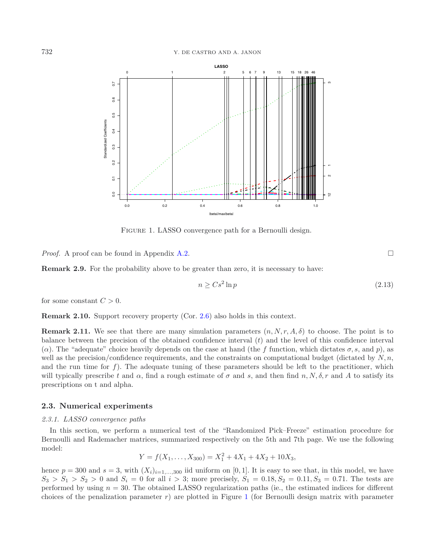<span id="page-7-1"></span>

FIGURE 1. LASSO convergence path for a Bernoulli design.

*Proof.* A proof can be found in Appendix [A.2.](#page-1-0)  $\Box$ 

**Remark 2.9.** For the probability above to be greater than zero, it is necessary to have:

<span id="page-7-0"></span>
$$
n \geq Cs^2 \ln p \tag{2.13}
$$

for some constant  $C > 0$ .

**Remark 2.10.** Support recovery property (Cor. [2.6\)](#page-5-0) also holds in this context.

**Remark 2.11.** We see that there are many simulation parameters  $(n, N, r, A, \delta)$  to choose. The point is to balance between the precision of the obtained confidence interval  $(t)$  and the level of this confidence interval ( $\alpha$ ). The "adequate" choice heavily depends on the case at hand (the f function, which dictates  $\sigma$ , s, and p), as well as the precision/confidence requirements, and the constraints on computational budget (dictated by  $N,n$ , and the run time for  $f$ ). The adequate tuning of these parameters should be left to the practitioner, which will typically prescribe t and  $\alpha$ , find a rough estimate of  $\sigma$  and s, and then find n, N,  $\delta$ , r and A to satisfy its prescriptions on t and alpha.

## **2.3. Numerical experiments**

#### *2.3.1. LASSO convergence paths*

In this section, we perform a numerical test of the "Randomized Pick–Freeze" estimation procedure for Bernoulli and Rademacher matrices, summarized respectively on the 5th and 7th page. We use the following model:

$$
Y = f(X_1, \ldots, X_{300}) = X_1^2 + 4X_1 + 4X_2 + 10X_3,
$$

hence  $p = 300$  and  $s = 3$ , with  $(X_i)_{i=1,\dots,300}$  iid uniform on [0, 1]. It is easy to see that, in this model, we have  $S_3 > S_1 > S_2 > 0$  and  $S_i = 0$  for all  $i > 3$ ; more precisely,  $S_1 = 0.18, S_2 = 0.11, S_3 = 0.71$ . The tests are performed by using  $n = 30$ . The obtained LASSO regularization paths (ie., the estimated indices for different choices of the penalization parameter  $r$ ) are plotted in Figure [1](#page-7-1) (for Bernoulli design matrix with parameter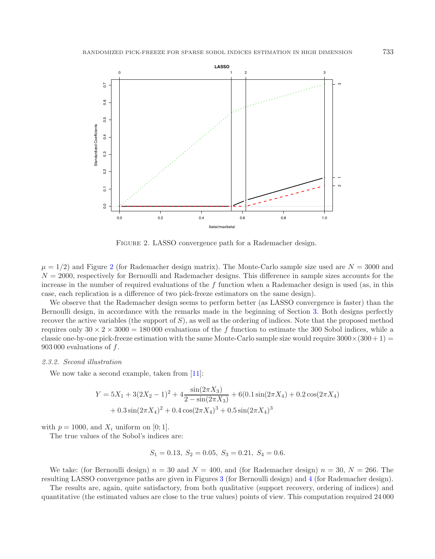<span id="page-8-0"></span>

FIGURE 2. LASSO convergence path for a Rademacher design.

 $\mu = 1/2$  $\mu = 1/2$ ) and Figure 2 (for Rademacher design matrix). The Monte-Carlo sample size used are  $N = 3000$  and  $N = 2000$ , respectively for Bernoulli and Rademacher designs. This difference in sample sizes accounts for the increase in the number of required evaluations of the f function when a Rademacher design is used (as, in this case, each replication is a difference of two pick-freeze estimators on the same design).

We observe that the Rademacher design seems to perform better (as LASSO convergence is faster) than the Bernoulli design, in accordance with the remarks made in the beginning of Section [3.](#page-10-0) Both designs perfectly recover the active variables (the support of  $S$ ), as well as the ordering of indices. Note that the proposed method requires only  $30 \times 2 \times 3000 = 180000$  evaluations of the f function to estimate the 300 Sobol indices, while a classic one-by-one pick-freeze estimation with the same Monte-Carlo sample size would require  $3000\times(300+1)$  = 903 000 evaluations of f.

#### *2.3.2. Second illustration*

We now take a second example, taken from [\[11](#page-19-10)]:

$$
Y = 5X_1 + 3(2X_2 - 1)^2 + 4\frac{\sin(2\pi X_3)}{2 - \sin(2\pi X_3)} + 6(0.1\sin(2\pi X_4) + 0.2\cos(2\pi X_4)
$$
  
+ 0.3\sin(2\pi X\_4)^2 + 0.4\cos(2\pi X\_4)^3 + 0.5\sin(2\pi X\_4)^3

with  $p = 1000$ , and  $X_i$  uniform on [0; 1].

The true values of the Sobol's indices are:

$$
S_1 = 0.13
$$
,  $S_2 = 0.05$ ,  $S_3 = 0.21$ ,  $S_4 = 0.6$ .

We take: (for Bernoulli design)  $n = 30$  and  $N = 400$ , and (for Rademacher design)  $n = 30$ ,  $N = 266$ . The resulting LASSO convergence paths are given in Figures [3](#page-9-0) (for Bernoulli design) and [4](#page-10-1) (for Rademacher design).

The results are, again, quite satisfactory, from both qualitative (support recovery, ordering of indices) and quantitative (the estimated values are close to the true values) points of view. This computation required 24 000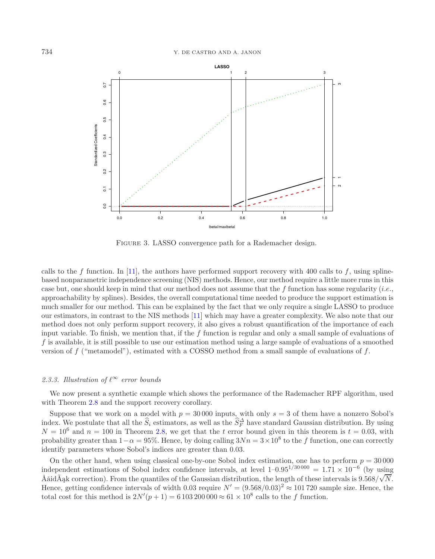<span id="page-9-0"></span>

FIGURE 3. LASSO convergence path for a Rademacher design.

calls to the f function. In [\[11\]](#page-19-10), the authors have performed support recovery with 400 calls to f, using splinebased nonparametric independence screening (NIS) methods. Hence, our method require a little more runs in this case but, one should keep in mind that our method does not assume that the f function has some regularity (*i.e.*, approachability by splines). Besides, the overall computational time needed to produce the support estimation is much smaller for our method. This can be explained by the fact that we only require a single LASSO to produce our estimators, in contrast to the NIS methods [\[11](#page-19-10)] which may have a greater complexity. We also note that our method does not only perform support recovery, it also gives a robust quantification of the importance of each input variable. To finish, we mention that, if the  $f$  function is regular and only a small sample of evaluations of f is available, it is still possible to use our estimation method using a large sample of evaluations of a smoothed version of  $f$  ("metamodel"), estimated with a COSSO method from a small sample of evaluations of  $f$ .

## 2.3.3. Illustration of  $\ell^{\infty}$  error bounds

We now present a synthetic example which shows the performance of the Rademacher RPF algorithm, used with Theorem [2.8](#page-6-0) and the support recovery corollary.

Suppose that we work on a model with  $p = 30000$  inputs, with only  $s = 3$  of them have a nonzero Sobol's index. We postulate that all the  $\hat{S}_i$  estimators, as well as the  $\hat{S}_F^{\Delta}$  have standard Gaussian distribution. By using  $N = 10^6$  and  $n = 100$  in Theorem [2.8,](#page-6-0) we get that the t error bound given in this theorem is  $t = 0.03$ , with probability greater than  $1-\alpha = 95\%$ . Hence, by doing calling  $3Nn = 3 \times 10^8$  to the f function, one can correctly identify parameters whose Sobol's indices are greater than 0.03.

On the other hand, when using classical one-by-one Sobol index estimation, one has to perform  $p = 30000$ independent estimations of Sobol index confidence intervals, at level  $1-0.95^{1/30000} = 1.71 \times 10^{-6}$  (by using Åăid $\tilde{A}$ ak correction). From the quantiles of the Gaussian distribution, the length of these intervals is  $9.568/\sqrt{N}$ . Hence, getting confidence intervals of width 0.03 require  $N' = (9.568/0.03)^2 \approx 101720$  sample size. Hence, the total cost for this method is  $2N'(p+1) = 6103200000 \approx 61 \times 10^8$  calls to the f function.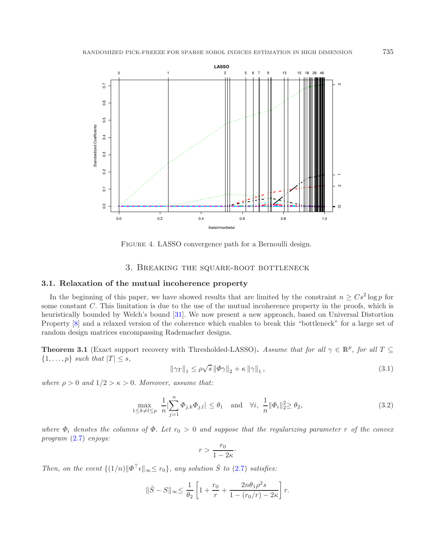<span id="page-10-1"></span>

<span id="page-10-2"></span>FIGURE 4. LASSO convergence path for a Bernoulli design.

## <span id="page-10-3"></span>3. Breaking the square-root bottleneck

#### <span id="page-10-0"></span>**3.1. Relaxation of the mutual incoherence property**

In the beginning of this paper, we have showed results that are limited by the constraint  $n \geq Cs^2 \log p$  for some constant C. This limitation is due to the use of the mutual incoherence property in the proofs, which is heuristically bounded by Welch's bound [\[31](#page-20-5)]. We now present a new approach, based on Universal Distortion Property [\[8\]](#page-19-14) and a relaxed version of the coherence which enables to break this "bottleneck" for a large set of random design matrices encompassing Rademacher designs.

<span id="page-10-4"></span>**Theorem 3.1** (Exact support recovery with Thresholded-LASSO). Assume that for all  $\gamma \in \mathbb{R}^p$ , for all  $T \subseteq$  $\{1,\ldots,p\}$  *such that*  $|T| \leq s$ ,

$$
\|\gamma_T\|_1 \le \rho \sqrt{s} \left\|\Phi\gamma\right\|_2 + \kappa \left\|\gamma\right\|_1,\tag{3.1}
$$

*where*  $\rho > 0$  *and*  $1/2 > \kappa > 0$ *. Moreover, assume that:* 

$$
\max_{1 \le k \ne l \le p} \frac{1}{n} \Big| \sum_{j=1}^{n} \Phi_{j,k} \Phi_{j,l} \Big| \le \theta_1 \quad \text{and} \quad \forall i, \ \frac{1}{n} \|\Phi_i\|_2^2 \ge \theta_2,\tag{3.2}
$$

*where*  $\Phi_i$  *denotes the columns of*  $\Phi$ *. Let*  $r_0 > 0$  *and suppose that the regularizing parameter* r *of the convex program* [\(2.7\)](#page-4-1) *enjoys:*

$$
r > \frac{r_0}{1 - 2\kappa} \cdot
$$

*Then, on the event*  $\{(1/n)|\Phi^{\top} \epsilon|_{\infty} \leq r_0\}$ *, any solution*  $\hat{S}$  *to* [\(2.7\)](#page-4-1) *satisfies:* 

$$
\|\hat{S} - S\|_{\infty} \le \frac{1}{\theta_2} \left[ 1 + \frac{r_0}{r} + \frac{2n\theta_1\rho^2 s}{1 - (r_0/r) - 2\kappa} \right] r.
$$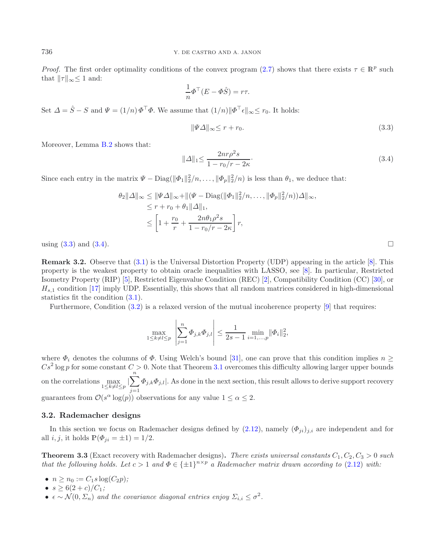*Proof.* The first order optimality conditions of the convex program [\(2.7\)](#page-4-1) shows that there exists  $\tau \in \mathbb{R}^p$  such that  $||\tau||_{\infty} \leq 1$  and:

<span id="page-11-1"></span>
$$
\frac{1}{n}\Phi^{\top}(E - \Phi \hat{S}) = r\tau.
$$

Set  $\Delta = \hat{S} - S$  and  $\Psi = (1/n) \Phi^{\top} \Phi$ . We assume that  $(1/n) \|\Phi^{\top} \epsilon\|_{\infty} \leq r_0$ . It holds:

$$
\|\Psi\Delta\|_{\infty} \le r + r_0. \tag{3.3}
$$

Moreover, Lemma [B.2](#page-4-0) shows that:

$$
\|\Delta\|_{1} \le \frac{2nr\rho^{2}s}{1 - r_{0}/r - 2\kappa}.
$$
\n(3.4)

Since each entry in the matrix  $\Psi - \text{Diag}(\|\Phi_1\|_2^2/n, \ldots, \|\Phi_p\|_2^2/n)$  is less than  $\theta_1$ , we deduce that:

$$
\theta_2 ||\Delta||_{\infty} \le ||\Psi\Delta||_{\infty} + ||(\Psi - \text{Diag}(||\Phi_1||_2^2/n, \dots, ||\Phi_p||_2^2/n))\Delta||_{\infty},
$$
  
\n
$$
\le r + r_0 + \theta_1 ||\Delta||_1,
$$
  
\n
$$
\le \left[1 + \frac{r_0}{r} + \frac{2n\theta_1\rho^2 s}{1 - r_0/r - 2\kappa}\right] r,
$$

using  $(3.3)$  and  $(3.4)$ .

**Remark 3.2.** Observe that  $(3.1)$  is the Universal Distortion Property (UDP) appearing in the article [\[8\]](#page-19-14). This property is the weakest property to obtain oracle inequalities with LASSO, see [\[8\]](#page-19-14). In particular, Restricted Isometry Property (RIP) [\[5](#page-19-19)], Restricted Eigenvalue Condition (REC) [\[2](#page-19-20)], Compatibility Condition (CC) [\[30](#page-20-6)], or  $H_{s,1}$  condition [\[17\]](#page-19-21) imply UDP. Essentially, this shows that all random matrices considered in high-dimensional statistics fit the condition [\(3.1\)](#page-10-2).

Furthermore, Condition [\(3.2\)](#page-10-3) is a relaxed version of the mutual incoherence property [\[9\]](#page-19-9) that requires:

$$
\max_{1 \le k \ne l \le p} \left| \sum_{j=1}^n \Phi_{j,k} \Phi_{j,l} \right| \le \frac{1}{2s - 1} \min_{i=1,...,p} \|\Phi_i\|_2^2,
$$

where  $\Phi_i$  denotes the columns of  $\Phi$ . Using Welch's bound [\[31](#page-20-5)], one can prove that this condition implies  $n \geq$  $Cs^2$  log p for some constant  $C > 0$ . Note that Theorem [3.1](#page-10-4) overcomes this difficulty allowing larger upper bounds on the correlations max  $\max_{1 \leq k \neq l \leq p} |\sum_{i=1}^n$  $j=1$  $\Phi_{j,k}\Phi_{j,l}|$ . As done in the next section, this result allows to derive support recovery guarantees from  $\mathcal{O}(s^{\alpha} \log(p))$  observations for any value  $1 \leq \alpha \leq 2$ .

## **3.2. Rademacher designs**

<span id="page-11-0"></span>In this section we focus on Rademacher designs defined by  $(2.12)$ , namely  $(\Phi_{ji})_{j,i}$  are independent and for all  $i, j$ , it holds  $\mathbb{P}(\Phi_{ji} = \pm 1) = 1/2$ .

**Theorem 3.3** (Exact recovery with Rademacher designs). There exists universal constants  $C_1, C_2, C_3 > 0$  such *that the following holds. Let*  $c > 1$  *and*  $\Phi \in {\pm 1}^{n \times p}$  *a Rademacher matrix drawn according to* [\(2.12\)](#page-6-2) *with:* 

- $n \geq n_0 := C_1 s \log(C_2 p)$ ;
- $s \geq 6(2+c)/C_1$ ;
- $\epsilon \sim \mathcal{N}(0, \Sigma_n)$  and the covariance diagonal entries enjoy  $\Sigma_{i,i} \leq \sigma^2$ .

<span id="page-11-2"></span>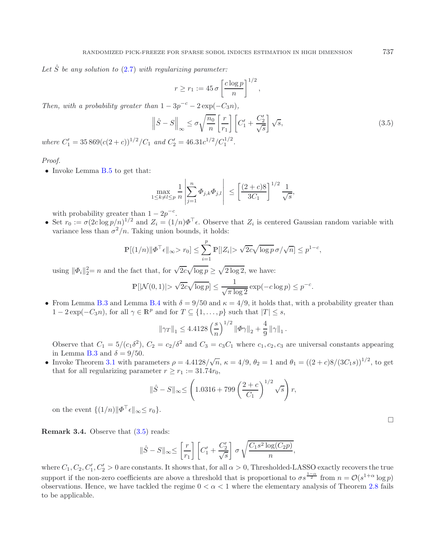Let  $\hat{S}$  be any solution to  $(2.7)$  with regularizing parameter:

<span id="page-12-0"></span>
$$
r \ge r_1 := 45 \sigma \left[ \frac{c \log p}{n} \right]^{1/2},
$$

*Then, with a probability greater than*  $1 - 3p^{-c} - 2 \exp(-C_3 n)$ *,* 

$$
\left\|\hat{S} - S\right\|_{\infty} \le \sigma \sqrt{\frac{n_0}{n}} \left[\frac{r}{r_1}\right] \left[C_1' + \frac{C_2'}{\sqrt{s}}\right] \sqrt{s},\tag{3.5}
$$

*where*  $C'_1 = 35\,869(c(2+c))^{1/2}/C_1$  *and*  $C'_2 = 46.31c^{1/2}/C_1^{1/2}$ .

#### *Proof.*

• Invoke Lemma [B.5](#page-5-2) to get that:

$$
\max_{1 \le k \ne l \le p} \frac{1}{n} \left| \sum_{j=1}^n \Phi_{j,k} \Phi_{j,l} \right| \le \left[ \frac{(2+c)8}{3C_1} \right]^{1/2} \frac{1}{\sqrt{s}},
$$

with probability greater than  $1 - 2p^{-c}$ .

• Set  $r_0 := \sigma(2c\log p/n)^{1/2}$  and  $Z_i = (1/n)\Phi^\top \epsilon$ . Observe that  $Z_i$  is centered Gaussian random variable with variance less than  $\sigma^2/n$ . Taking union bounds, it holds:

$$
\mathbb{P}[(1/n)\|\Phi^{\top}\epsilon\|_{\infty} > r_0] \le \sum_{i=1}^p \mathbb{P}[|Z_i| > \sqrt{2c}\sqrt{\log p} \,\sigma/\sqrt{n}] \le p^{1-c},
$$

using  $\|\Phi_i\|_2^2 = n$  and the fact that, for  $\sqrt{2c}\sqrt{\log p} \ge \sqrt{2\log 2}$ , we have:

$$
\mathbb{P}\left[|\mathcal{N}(0,1)| > \sqrt{2c}\sqrt{\log p}\right] \le \frac{1}{\sqrt{\pi \log 2}}\exp(-c\log p) \le p^{-c}.
$$

• From Lemma [B.3](#page-5-3) and Lemma [B.4](#page-5-4) with  $\delta = 9/50$  and  $\kappa = 4/9$ , it holds that, with a probability greater than  $1-2\exp(-C_3n)$ , for all  $\gamma \in \mathbb{R}^p$  and for  $T \subseteq \{1,\ldots,p\}$  such that  $|T| \leq s$ ,

$$
\|\gamma_T\|_1 \le 4.4128 \left(\frac{s}{n}\right)^{1/2} \|\Phi\gamma\|_2 + \frac{4}{9} \|\gamma\|_1.
$$

Observe that  $C_1 = 5/(c_1\delta^2)$ ,  $C_2 = c_2/\delta^2$  and  $C_3 = c_3C_1$  where  $c_1, c_2, c_3$  are universal constants appearing in Lemma [B.3](#page-5-3) and  $\delta = 9/50$ .

• Invoke Theorem [3.1](#page-10-4) with parameters  $\rho = 4.4128/\sqrt{n}$ ,  $\kappa = 4/9$ ,  $\theta_2 = 1$  and  $\theta_1 = ((2 + c)8/(3C_1s))^{1/2}$ , to get that for all regularizing parameter  $r \ge r_1 := 31.74r_0$ ,

$$
\|\hat{S} - S\|_{\infty} \le \left(1.0316 + 799\left(\frac{2+c}{C_1}\right)^{1/2} \sqrt{s}\right) r,
$$

on the event  $\{(1/n)|\Phi^{\top}\epsilon\|_{\infty} \leq r_0\}.$ 

**Remark 3.4.** Observe that  $(3.5)$  reads:

$$
\|\hat{S} - S\|_{\infty} \le \left[\frac{r}{r_1}\right] \left[C_1' + \frac{C_2'}{\sqrt{s}}\right] \sigma \sqrt{\frac{C_1 s^2 \log(C_2 p)}{n}},
$$

where  $C_1, C_2, C'_1, C'_2 > 0$  are constants. It shows that, for all  $\alpha > 0$ , Thresholded-LASSO exactly recovers the true support if the non-zero coefficients are above a threshold that is proportional to  $\sigma s^{\frac{1-\alpha}{2}}$  from  $n = \mathcal{O}(s^{1+\alpha} \log p)$ observations. Hence, we have tackled the regime  $0 < \alpha < 1$  where the elementary analysis of Theorem [2.8](#page-6-0) fails to be applicable.

 $\Box$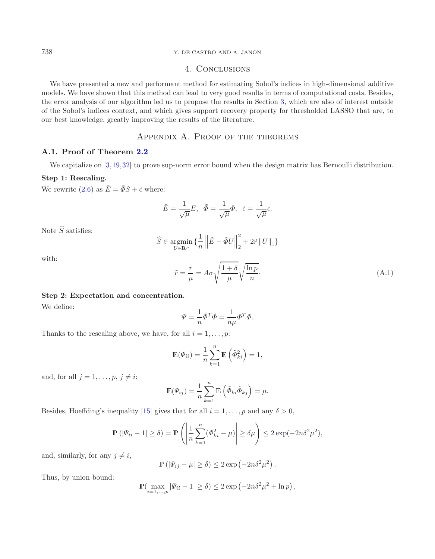## 738 Y. DE CASTRO AND A. JANON

# 4. Conclusions

We have presented a new and performant method for estimating Sobol's indices in high-dimensional additive models. We have shown that this method can lead to very good results in terms of computational costs. Besides, the error analysis of our algorithm led us to propose the results in Section [3,](#page-10-0) which are also of interest outside of the Sobol's indices context, and which gives support recovery property for thresholded LASSO that are, to our best knowledge, greatly improving the results of the literature.

# Appendix A. Proof of the theorems

## <span id="page-13-0"></span>**A.1. Proof of Theorem [2.2](#page-4-0)**

We capitalize on [\[3](#page-19-22),[19](#page-19-8)[,32\]](#page-20-3) to prove sup-norm error bound when the design matrix has Bernoulli distribution.

## **Step 1: Rescaling.**

We rewrite [\(2.6\)](#page-3-1) as  $\tilde{E} = \tilde{\Phi} S + \tilde{\epsilon}$  where:

$$
\tilde{E}=\frac{1}{\sqrt{\mu}}E,~~\tilde{\varPhi}=\frac{1}{\sqrt{\mu}}\varPhi,~~\tilde{\epsilon}=\frac{1}{\sqrt{\mu}}\epsilon.
$$

Note  $\widehat{S}$  satisfies:

$$
\widehat{S}\in\mathop{\rm argmin}_{U\in{\mathbb{R}}^p} \big\{\frac{1}{n}\left\|\tilde{E}-\tilde{\varPhi}U\right\|_2^2+2\tilde{r}\left\|U\right\|_1\big\}
$$

with:

$$
\tilde{r} = \frac{r}{\mu} = A\sigma \sqrt{\frac{1+\delta}{\mu}} \sqrt{\frac{\ln p}{n}}.\tag{A.1}
$$

## **Step 2: Expectation and concentration.**

We define:

$$
\Psi = \frac{1}{n} \tilde{\Phi}^T \tilde{\Phi} = \frac{1}{n\mu} \Phi^T \Phi.
$$

Thanks to the rescaling above, we have, for all  $i = 1, \ldots, p$ :

$$
\mathbb{E}(\Psi_{ii}) = \frac{1}{n} \sum_{k=1}^{n} \mathbb{E}\left(\tilde{\Phi}_{ki}^{2}\right) = 1,
$$

and, for all  $j = 1, \ldots, p, j \neq i$ :

$$
\mathbb{E}(\Psi_{ij}) = \frac{1}{n} \sum_{k=1}^{n} \mathbb{E}(\tilde{\Phi}_{ki} \tilde{\Phi}_{kj}) = \mu.
$$

Besides, Hoeffding's inequality [\[15\]](#page-19-23) gives that for all  $i = 1, \ldots, p$  and any  $\delta > 0$ ,

$$
\mathbb{P}\left(|\varPsi_{ii}-1|\geq \delta\right)=\mathbb{P}\left(\left|\frac{1}{n}\sum_{k=1}^n(\varPhi_{ki}^2-\mu)\right|\geq \delta\mu\right)\leq 2\exp(-2n\delta^2\mu^2),
$$

and, similarly, for any  $j \neq i$ ,

$$
\mathbb{P}\left(|\varPsi_{ij}-\mu|\geq \delta\right)\leq 2\exp\left(-2n\delta^2\mu^2\right).
$$

Thus, by union bound:

$$
\mathbb{P}\left(\max_{i=1,\dots,p} |\Psi_{ii} - 1| \ge \delta\right) \le 2\exp\left(-2n\delta^2\mu^2 + \ln p\right),\,
$$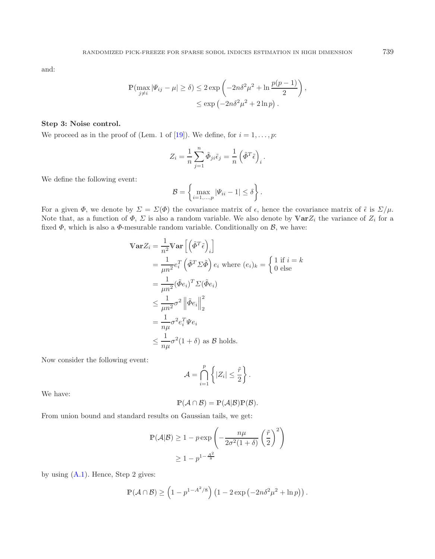and:

$$
\mathbb{P}(\max_{j \neq i} |\Psi_{ij} - \mu| \ge \delta) \le 2 \exp\left(-2n\delta^2 \mu^2 + \ln \frac{p(p-1)}{2}\right),
$$
  

$$
\le \exp\left(-2n\delta^2 \mu^2 + 2\ln p\right).
$$

#### **Step 3: Noise control.**

We proceed as in the proof of (Lem. 1 of [\[19](#page-19-8)]). We define, for  $i = 1, \ldots, p$ :

$$
Z_i = \frac{1}{n} \sum_{j=1}^n \tilde{\Phi}_{ji} \tilde{\epsilon}_j = \frac{1}{n} \left( \tilde{\Phi}^T \tilde{\epsilon} \right)_i.
$$

We define the following event:

$$
\mathcal{B} = \left\{ \max_{i=1,\dots,p} |\Psi_{ii} - 1| \le \delta \right\}.
$$

For a given  $\Phi$ , we denote by  $\Sigma = \Sigma(\Phi)$  the covariance matrix of  $\epsilon$ , hence the covariance matrix of  $\tilde{\epsilon}$  is  $\Sigma/\mu$ . Note that, as a function of  $\Phi$ ,  $\Sigma$  is also a random variable. We also denote by  $\mathbb{V}arZ_i$  the variance of  $Z_i$  for a fixed  $\Phi$ , which is also a  $\Phi$ -mesurable random variable. Conditionally on  $\mathcal{B}$ , we have:

$$
\begin{split}\n\mathbf{Var}Z_{i} &= \frac{1}{n^{2}} \mathbf{Var} \left[ \left( \tilde{\Phi}^{T} \tilde{\epsilon} \right)_{i} \right] \\
&= \frac{1}{\mu n^{2}} e_{i}^{T} \left( \tilde{\Phi}^{T} \Sigma \tilde{\Phi} \right) e_{i} \text{ where } (e_{i})_{k} = \begin{cases} 1 \text{ if } i = k \\
0 \text{ else} \end{cases} \\
&= \frac{1}{\mu n^{2}} (\tilde{\Phi} e_{i})^{T} \Sigma (\tilde{\Phi} e_{i}) \\
&\leq \frac{1}{\mu n^{2}} \sigma^{2} \left\| \tilde{\Phi} e_{i} \right\|_{2}^{2} \\
&= \frac{1}{n \mu} \sigma^{2} e_{i}^{T} \Psi e_{i} \\
&\leq \frac{1}{n \mu} \sigma^{2} (1 + \delta) \text{ as } \mathcal{B} \text{ holds.}\n\end{split}
$$

Now consider the following event:

$$
\mathcal{A} = \bigcap_{i=1}^p \left\{ |Z_i| \leq \frac{\tilde{r}}{2} \right\}.
$$

We have:

$$
\mathbb{P}(\mathcal{A}\cap\mathcal{B})=\mathbb{P}(\mathcal{A}|\mathcal{B})\mathbb{P}(\mathcal{B}).
$$

From union bound and standard results on Gaussian tails, we get:

$$
\mathbb{P}(\mathcal{A}|\mathcal{B}) \ge 1 - p \exp\left(-\frac{n\mu}{2\sigma^2(1+\delta)} \left(\frac{\tilde{r}}{2}\right)^2\right)
$$

$$
\ge 1 - p^{1 - \frac{A^2}{8}}
$$

by using  $(A.1)$ . Hence, Step 2 gives:

$$
\mathbb{P}(\mathcal{A} \cap \mathcal{B}) \ge \left(1 - p^{1 - A^2/8}\right) \left(1 - 2\exp\left(-2n\delta^2\mu^2 + \ln p\right)\right).
$$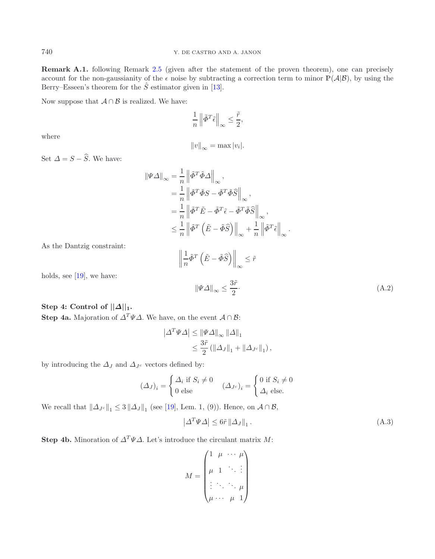**Remark A.1.** following Remark [2.5](#page-5-2) (given after the statement of the proven theorem), one can precisely account for the non-gaussianity of the  $\epsilon$  noise by subtracting a correction term to minor  $\mathbb{P}(\mathcal{A}|\mathcal{B})$ , by using the Berry–Esseen's theorem for the  $\hat{S}$  estimator given in [\[13](#page-19-4)].

Now suppose that  $A \cap B$  is realized. We have:

$$
\frac{1}{n} \left\| \tilde{\varPhi}^T \tilde{\epsilon} \right\|_{\infty} \le \frac{\tilde{r}}{2},
$$

where

$$
||v||_{\infty} = \max |v_i|.
$$

<span id="page-15-1"></span>Set  $\Delta = S - \widehat{S}$ . We have:

$$
\begin{split} \|\Psi\Delta\|_{\infty} &= \frac{1}{n} \left\| \tilde{\varPhi}^T \tilde{\varPhi} \Delta \right\|_{\infty}, \\ &= \frac{1}{n} \left\| \tilde{\varPhi}^T \tilde{\varPhi} S - \tilde{\varPhi}^T \tilde{\varPhi} \tilde{S} \right\|_{\infty}, \\ &= \frac{1}{n} \left\| \tilde{\varPhi}^T \tilde{E} - \tilde{\varPhi}^T \tilde{\epsilon} - \tilde{\varPhi}^T \tilde{\varPhi} \tilde{S} \right\|_{\infty}, \\ &\leq \frac{1}{n} \left\| \tilde{\varPhi}^T \left( \tilde{E} - \tilde{\varPhi} \tilde{S} \right) \right\|_{\infty} + \frac{1}{n} \left\| \tilde{\varPhi}^T \tilde{\epsilon} \right\|_{\infty}. \end{split}
$$

As the Dantzig constraint:

$$
\left\| \frac{1}{n} \tilde{\Phi}^T \left( \tilde{E} - \tilde{\Phi} \tilde{S} \right) \right\|_{\infty} \leq \tilde{r}
$$

holds, see [\[19\]](#page-19-8), we have:

<span id="page-15-0"></span> $\|\Psi\Delta\|_{\infty} \leq \frac{3\tilde{r}}{2}$  $\frac{2}{2}$  (A.2)

# **Step 4: Control of**  $||\Delta||_1$ **.**

**Step 4a.** Majoration of  $\Delta^T \Psi \Delta$ . We have, on the event  $\mathcal{A} \cap \mathcal{B}$ :

$$
\left|\Delta^T \Psi \Delta\right| \leq \left\|\Psi \Delta\right\|_{\infty} \left\|\Delta\right\|_{1}
$$
  

$$
\leq \frac{3\tilde{r}}{2} \left(\left\|\Delta_J\right\|_{1} + \left\|\Delta_{J^c}\right\|_{1}\right),
$$

by introducing the  $\Delta_J$  and  $\Delta_{J^c}$  vectors defined by:

$$
(\Delta_J)_i = \begin{cases} \Delta_i & \text{if } S_i \neq 0 \\ 0 & \text{else} \end{cases} \quad (\Delta_{J^c})_i = \begin{cases} 0 & \text{if } S_i \neq 0 \\ \Delta_i & \text{else.} \end{cases}
$$

We recall that  $||\Delta_{J^c}||_1 \leq 3 ||\Delta_J||_1$  (see [\[19](#page-19-8)], Lem. 1, (9)). Hence, on  $\mathcal{A} \cap \mathcal{B}$ ,

$$
\left|\Delta^T \Psi \Delta\right| \le 6\tilde{r} \left\|\Delta_J\right\|_1. \tag{A.3}
$$

**Step 4b.** Minoration of  $\Delta^T \Psi \Delta$ . Let's introduce the circulant matrix M:

$$
M = \begin{pmatrix} 1 & \mu & \cdots & \mu \\ \mu & 1 & \ddots & \vdots \\ \vdots & \ddots & \ddots & \mu \\ \mu & \cdots & \mu & 1 \end{pmatrix}
$$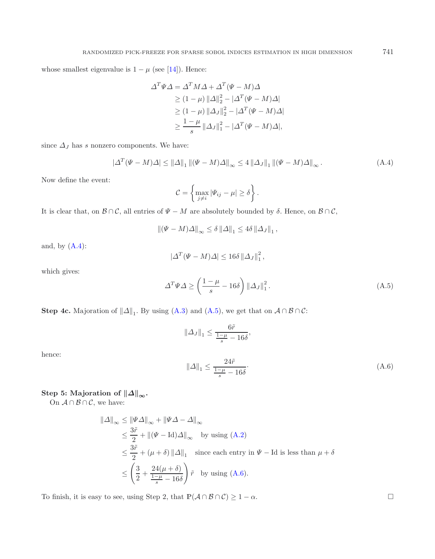whose smallest eigenvalue is  $1 - \mu$  (see [\[14](#page-19-24)]). Hence:

<span id="page-16-0"></span>
$$
\Delta^T \Psi \Delta = \Delta^T M \Delta + \Delta^T (\Psi - M) \Delta
$$
  
\n
$$
\geq (1 - \mu) \|\Delta\|_2^2 - |\Delta^T (\Psi - M) \Delta|
$$
  
\n
$$
\geq (1 - \mu) \|\Delta_J\|_2^2 - |\Delta^T (\Psi - M) \Delta|
$$
  
\n
$$
\geq \frac{1 - \mu}{s} \|\Delta_J\|_1^2 - |\Delta^T (\Psi - M) \Delta|,
$$

<span id="page-16-1"></span>since  $\Delta_J$  has s nonzero components. We have:

$$
\left|\Delta^T(\Psi - M)\Delta\right| \le \left\|\Delta\right\|_1 \left\|(\Psi - M)\Delta\right\|_\infty \le 4 \left\|\Delta_J\right\|_1 \left\|(\Psi - M)\Delta\right\|_\infty. \tag{A.4}
$$

Now define the event:

$$
C = \left\{\max_{j \neq i} |\Psi_{ij} - \mu| \geq \delta\right\}.
$$

It is clear that, on  $\mathcal{B}\cap\mathcal{C}$ , all entries of  $\Psi - M$  are absolutely bounded by  $\delta$ . Hence, on  $\mathcal{B}\cap\mathcal{C}$ ,

$$
\left\|(\Psi - M)\Delta\right\|_{\infty} \le \delta \left\|\Delta\right\|_{1} \le 4\delta \left\|\Delta_{J}\right\|_{1},
$$

<span id="page-16-2"></span>and, by  $(A.4)$ :

$$
|\Delta^T(\Psi - M)\Delta| \le 16\delta \left\|\Delta_J\right\|_1^2,
$$

which gives:

hence:

$$
\Delta^T \Psi \Delta \ge \left(\frac{1-\mu}{s} - 16\delta\right) \left\|\Delta_J\right\|_1^2. \tag{A.5}
$$

**Step 4c.** Majoration of  $||\Delta||_1$ . By using [\(A.3\)](#page-15-0) and [\(A.5\)](#page-16-1), we get that on  $\mathcal{A} \cap \mathcal{B} \cap \mathcal{C}$ :

$$
\|\Delta J\|_1 \le \frac{6\tilde{r}}{\frac{1-\mu}{s} - 16\delta},
$$
  

$$
\|\Delta\|_1 \le \frac{24\tilde{r}}{\frac{1-\mu}{s} - 16\delta}.
$$
 (A.6)

 $\text{Step 5: Majoration of } \|\Delta\|_{\infty}.$ 

On  $\mathcal{A} \cap \mathcal{B} \cap \mathcal{C}$ , we have:

$$
\|\Delta\|_{\infty} \le \|\Psi\Delta\|_{\infty} + \|\Psi\Delta - \Delta\|_{\infty}
$$
  
\n
$$
\le \frac{3\tilde{r}}{2} + \|(\Psi - \text{Id})\Delta\|_{\infty} \quad \text{by using (A.2)}
$$
  
\n
$$
\le \frac{3\tilde{r}}{2} + (\mu + \delta) \|\Delta\|_{1} \quad \text{since each entry in } \Psi - \text{Id is less than } \mu + \delta
$$
  
\n
$$
\le \left(\frac{3}{2} + \frac{24(\mu + \delta)}{\frac{1-\mu}{s} - 16\delta}\right) \tilde{r} \quad \text{by using (A.6).}
$$

To finish, it is easy to see, using Step 2, that  $\mathbb{P}(\mathcal{A}\cap\mathcal{B}\cap\mathcal{C}) \geq 1-\alpha$ .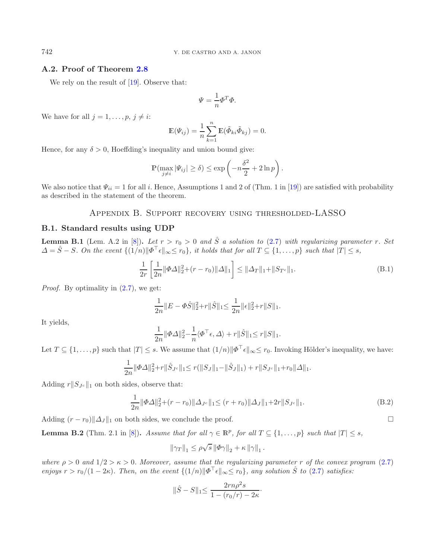## **A.2. Proof of Theorem [2.8](#page-6-0)**

We rely on the result of [\[19\]](#page-19-8). Observe that:

<span id="page-17-0"></span>
$$
\Psi = \frac{1}{n} \Phi^T \Phi.
$$

We have for all  $j = 1, \ldots, p, j \neq i$ :

$$
\mathbb{E}(\Psi_{ij}) = \frac{1}{n} \sum_{k=1}^{n} \mathbb{E}(\tilde{\Phi}_{ki} \tilde{\Phi}_{kj}) = 0.
$$

Hence, for any  $\delta > 0$ , Hoeffding's inequality and union bound give:

$$
\mathbb{P}(\max_{j\neq i} |\Psi_{ij}| \geq \delta) \leq \exp\left(-n\frac{\delta^2}{2} + 2\ln p\right).
$$

We also notice that  $\Psi_{ii} = 1$  for all i. Hence, Assumptions 1 and 2 of (Thm. 1 in [\[19\]](#page-19-8)) are satisfied with probability as described in the statement of the theorem.

# Appendix B. Support recovery using thresholded-LASSO

## **B.1. Standard results using UDP**

**Lemma B.1** (Lem. A.2 in [\[8](#page-19-14)]). Let  $r > r_0 > 0$  and  $\hat{S}$  a solution to [\(2.7\)](#page-4-1) with regularizing parameter r. Set  $\Delta = \hat{S} - S$ *. On the event*  $\{(\hat{1}/n)|\Phi^{\top}\epsilon\|_{\infty} \leq r_0\}$ , it holds that for all  $T \subseteq \{1, \ldots, p\}$  such that  $|T| \leq s$ ,

$$
\frac{1}{2r} \left[ \frac{1}{2n} \|\Phi \Delta\|_2^2 + (r - r_0) \|\Delta\|_1 \right] \le \|\Delta_T\|_1 + \|S_{T^c}\|_1. \tag{B.1}
$$

*Proof.* By optimality in  $(2.7)$ , we get:

$$
\frac{1}{2n}||E - \Phi \hat{S}||_2^2 + r||\hat{S}||_1 \le \frac{1}{2n}||\epsilon||_2^2 + r||S||_1.
$$

It yields,

$$
\frac{1}{2n} \|\varPhi\varDelta\|_2^2 - \frac{1}{n} \langle \varPhi^\top \epsilon, \varDelta \rangle + r \|\hat{S}\|_1 \leq r \|S\|_1.
$$

Let  $T \subseteq \{1,\ldots,p\}$  such that  $|T| \leq s$ . We assume that  $(1/n) \|\Phi^{\top}\epsilon\|_{\infty} \leq r_0$ . Invoking Hölder's inequality, we have:

$$
\frac{1}{2n} \|\Phi\Delta\|_2^2 + r\|\hat{S}_{J^c}\|_1 \le r(\|S_J\|_1 - \|\hat{S}_J\|_1) + r\|S_{J^c}\|_1 + r_0\|\Delta\|_1.
$$

Adding  $r||S_{Jc}||_1$  on both sides, observe that:

$$
\frac{1}{2n} \|\Phi \Delta\|_2^2 + (r - r_0) \|\Delta J^c\|_1 \le (r + r_0) \|\Delta J\|_1 + 2r \|S_{J^c}\|_1.
$$
\n(B.2)

Adding  $(r - r_0) ||\Delta_J||_1$  on both sides, we conclude the proof.  $\Box$ 

**Lemma B.2** (Thm. 2.1 in [\[8](#page-19-14)]). *Assume that for all*  $\gamma \in \mathbb{R}^p$ , *for all*  $T \subseteq \{1, ..., p\}$  *such that*  $|T| \leq s$ ,

$$
\left\|\gamma_T\right\|_1 \leq \rho\sqrt{s} \left\|\varPhi\gamma\right\|_2 + \kappa \left\|\gamma\right\|_1.
$$

*where*  $\rho > 0$  *and*  $1/2 > \kappa > 0$ *. Moreover, assume that the regularizing parameter* r *of the convex program* [\(2.7\)](#page-4-1) *enjoys*  $r > r_0/(1 - 2\kappa)$ *. Then, on the event*  $\{(1/n) \| \Phi^{\top} \epsilon \|_{\infty} \leq r_0\}$ *, any solution*  $\hat{S}$  *to* [\(2.7\)](#page-4-1) *satisfies:* 

$$
\|\hat{S} - S\|_1 \le \frac{2rn\rho^2 s}{1 - (r_0/r) - 2\kappa}.
$$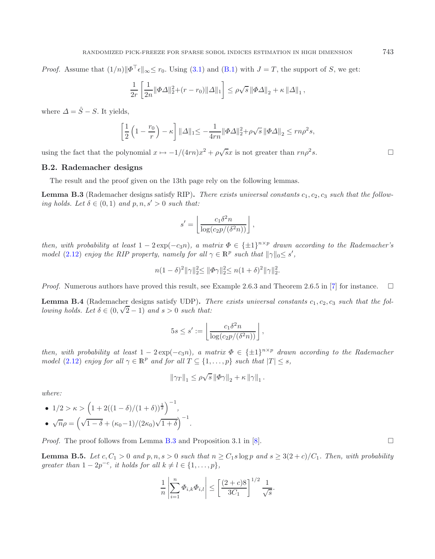*Proof.* Assume that  $(1/n)$  $\|\Phi^{\top}\epsilon\|_{\infty} \leq r_0$ . Using [\(3.1\)](#page-10-2) and [\(B.1\)](#page-17-0) with  $J = T$ , the support of S, we get:

$$
\frac{1}{2r} \left[ \frac{1}{2n} \|\Phi \Delta\|_2^2 + (r - r_0) \|\Delta\|_1 \right] \le \rho \sqrt{s} \|\Phi \Delta\|_2 + \kappa \|\Delta\|_1,
$$

where  $\Delta = \hat{S} - S$ . It yields,

$$
\left[\frac{1}{2}\left(1-\frac{r_0}{r}\right)-\kappa\right]||\Delta||_1 \leq -\frac{1}{4rn}||\Phi\Delta||_2^2 + \rho\sqrt{s}||\Phi\Delta||_2 \leq rn\rho^2s,
$$

using the fact that the polynomial  $x \mapsto -1/(4rn)x^2 + \rho \sqrt{s}x$  is not greater than  $rn\rho^2 s$ .

#### **B.2. Rademacher designs**

The result and the proof given on the 13th page rely on the following lemmas.

**Lemma B.3** (Rademacher designs satisfy RIP). There exists universal constants  $c_1, c_2, c_3$  *such that the following holds. Let*  $\delta \in (0,1)$  *and*  $p, n, s' > 0$  *such that:* 

$$
s' = \left\lfloor \frac{c_1 \delta^2 n}{\log(c_2 p / (\delta^2 n))} \right\rfloor,
$$

*then, with probability at least*  $1 - 2 \exp(-c_3 n)$ *, a matrix*  $\Phi \in {\pm 1}^{n \times p}$  *drawn according to the Rademacher's model* [\(2.12\)](#page-6-2) *enjoy the RIP property, namely for all*  $\gamma \in \mathbb{R}^p$  *such that*  $\|\gamma\|_0 \leq s'$ ,

$$
n(1-\delta)^2 \|\gamma\|_2^2 \le \|\Phi \gamma\|_2^2 \le n(1+\delta)^2 \|\gamma\|_2^2.
$$

*Proof.* Numerous authors have proved this result, see Example 2.6.3 and Theorem 2.6.5 in [\[7\]](#page-19-18) for instance.  $\square$ 

**Lemma B.4** (Rademacher designs satisfy UDP). *There exists universal constants*  $c_1, c_2, c_3$  *such that the following holds.* Let  $\delta \in (0, \sqrt{2}-1)$  and  $s > 0$  such that:

$$
5s \le s' := \left\lfloor \frac{c_1 \delta^2 n}{\log(c_2 p / (\delta^2 n))} \right\rfloor,
$$

*then, with probability at least*  $1 - 2 \exp(-c_3 n)$ *, a matrix*  $\Phi \in {\pm 1}^{n \times p}$  *drawn according to the Rademacher model* [\(2.12\)](#page-6-2) *enjoy for all*  $\gamma \in \mathbb{R}^p$  *and for all*  $T \subseteq \{1, ..., p\}$  *such that*  $|T| \leq s$ *,* 

$$
\|\gamma_T\|_1 \leq \rho\sqrt{s} \left\|\varPhi\gamma\right\|_2 + \kappa \left\|\gamma\right\|_1.
$$

*where:*

• 
$$
1/2 > \kappa > \left(1 + 2((1 - \delta)/(1 + \delta))^{\frac{1}{2}}\right)^{-1},
$$
  
\n•  $\sqrt{n}\rho = \left(\sqrt{1 - \delta} + (\kappa_0 - 1)/(2\kappa_0)\sqrt{1 + \delta}\right)^{-1}.$ 

*Proof.* The proof follows from Lemma [B.3](#page-5-3) and Proposition 3.1 in [\[8\]](#page-19-14).  $\Box$ 

**Lemma B.5.** Let  $c, C_1 > 0$  and  $p, n, s > 0$  such that  $n \geq C_1 s \log p$  and  $s \geq 3(2+c)/C_1$ . Then, with probability *greater than*  $1 - 2p^{-c}$ *, it holds for all*  $k \neq l \in \{1, ..., p\}$ *,* 

$$
\frac{1}{n} \left| \sum_{i=1}^{n} \Phi_{i,k} \Phi_{i,l} \right| \le \left[ \frac{(2+c)8}{3C_1} \right]^{1/2} \frac{1}{\sqrt{s}}.
$$

 $\Box$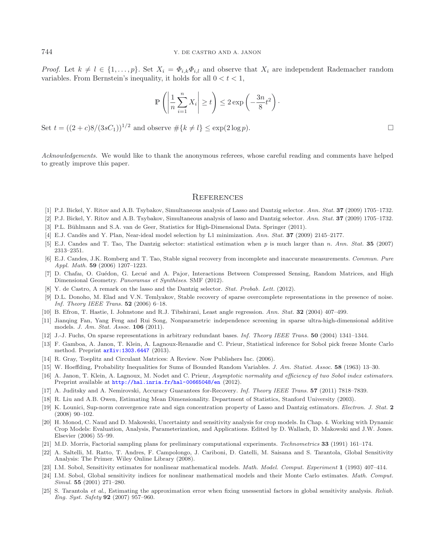*Proof.* Let  $k \neq l \in \{1,\ldots,p\}$ . Set  $X_i = \Phi_{i,k} \Phi_{i,l}$  and observe that  $X_i$  are independent Rademacher random variables. From Bernstein's inequality, it holds for all  $0 < t < 1$ ,

$$
\mathbb{P}\left(\left|\frac{1}{n}\sum_{i=1}^{n}X_i\right| \geq t\right) \leq 2\exp\left(-\frac{3n}{8}t^2\right).
$$

Set  $t = ((2 + c)8/(3sC_1))^{1/2}$  and observe  $\#\{k \neq l\} \leq \exp(2 \log p)$ .

*Acknowledgements.* We would like to thank the anonymous referees, whose careful reading and comments have helped to greatly improve this paper.

### **REFERENCES**

- <span id="page-19-13"></span>[1] P.J. Bickel, Y. Ritov and A.B. Tsybakov, Simultaneous analysis of Lasso and Dantzig selector. Ann. Stat. **37** (2009) 1705–1732.
- <span id="page-19-20"></span>[2] P.J. Bickel, Y. Ritov and A.B. Tsybakov, Simultaneous analysis of lasso and Dantzig selector. Ann. Stat. **37** (2009) 1705–1732.
- <span id="page-19-22"></span>[3] P.L. Bühlmann and S.A. van de Geer, Statistics for High-Dimensional Data. Springer (2011).
- <span id="page-19-15"></span>[4] E.J. Cand`es and Y. Plan, Near-ideal model selection by L1 minimization. Ann. Stat. **37** (2009) 2145–2177.
- <span id="page-19-19"></span>[5] E.J. Candes and T. Tao, The Dantzig selector: statistical estimation when *p* is much larger than *n*. Ann. Stat. **35** (2007) 2313–2351.
- <span id="page-19-16"></span>[6] E.J. Candes, J.K. Romberg and T. Tao, Stable signal recovery from incomplete and inaccurate measurements. Commun. Pure Appl. Math. **59** (2006) 1207–1223.
- <span id="page-19-18"></span>[7] D. Chafaı, O. Guédon, G. Lecué and A. Pajor, Interactions Between Compressed Sensing, Random Matrices, and High Dimensional Geometry. Panoramas et Synthèses. SMF (2012).
- [8] Y. de Castro, A remark on the lasso and the Dantzig selector. *Stat. Probab. Lett.* (2012).
- <span id="page-19-14"></span><span id="page-19-9"></span>[9] D.L. Donoho, M. Elad and V.N. Temlyakov, Stable recovery of sparse overcomplete representations in the presence of noise. Inf. Theory IEEE Trans. **52** (2006) 6–18.
- <span id="page-19-17"></span>[10] B. Efron, T. Hastie, I. Johnstone and R.J. Tibshirani, Least angle regression. Ann. Stat. **32** (2004) 407–499.
- <span id="page-19-10"></span>[11] Jianqing Fan, Yang Feng and Rui Song, Nonparametric independence screening in sparse ultra-high-dimensional additive models. J. Am. Stat. Assoc. **106** (2011).
- <span id="page-19-7"></span>[12] J.-J. Fuchs, On sparse representations in arbitrary redundant bases. Inf. Theory IEEE Trans. **50** (2004) 1341–1344.
- <span id="page-19-4"></span>[13] F. Gamboa, A. Janon, T. Klein, A. Lagnoux-Renaudie and C. Prieur, Statistical inference for Sobol pick freeze Monte Carlo method. Preprint [arXiv:1303.6447](http://arxiv.org/abs/1303.6447) (2013).
- <span id="page-19-24"></span>[14] R. Gray, Toeplitz and Circulant Matrices: A Review. Now Publishers Inc. (2006).
- <span id="page-19-23"></span>[15] W. Hoeffding, Probability Inequalities for Sums of Bounded Random Variables. J. Am. Statist. Assoc. **58** (1963) 13–30.
- <span id="page-19-12"></span>A. Janon, T. Klein, A. Lagnoux, M. Nodet and C. Prieur, Asymptotic normality and efficiency of two Sobol index estimators. Preprint available at  $http://hal.inria.fr/hal-00665048/en$  (2012).
- <span id="page-19-21"></span>[17] A. Juditsky and A. Nemirovski, Accuracy Guarantees for-Recovery. Inf. Theory IEEE Trans. **57** (2011) 7818–7839.
- <span id="page-19-1"></span>[18] R. Liu and A.B. Owen, Estimating Mean Dimensionality. Department of Statistics, Stanford University (2003).
- <span id="page-19-8"></span>[19] K. Lounici, Sup-norm convergence rate and sign concentration property of Lasso and Dantzig estimators. Electron. J. Stat. **2** (2008) 90–102.
- <span id="page-19-11"></span>[20] H. Monod, C. Naud and D. Makowski, Uncertainty and sensitivity analysis for crop models. In Chap. 4. Working with Dynamic Crop Models: Evaluation, Analysis, Parameterization, and Applications. Edited by D. Wallach, D. Makowski and J.W. Jones. Elsevier (2006) 55–99.
- <span id="page-19-5"></span>[21] M.D. Morris, Factorial sampling plans for preliminary computational experiments. Technometrics **33** (1991) 161–174.
- <span id="page-19-0"></span>[22] A. Saltelli, M. Ratto, T. Andres, F. Campolongo, J. Cariboni, D. Gatelli, M. Saisana and S. Tarantola, Global Sensitivity Analysis: The Primer. Wiley Online Library (2008).
- <span id="page-19-2"></span>[23] I.M. Sobol, Sensitivity estimates for nonlinear mathematical models. Math. Model. Comput. Experiment **1** (1993) 407–414.
- <span id="page-19-3"></span>[24] I.M. Sobol, Global sensitivity indices for nonlinear mathematical models and their Monte Carlo estimates. Math. Comput. Simul. **55** (2001) 271–280.
- <span id="page-19-6"></span>[25] S. Tarantola et al., Estimating the approximation error when fixing unessential factors in global sensitivity analysis. Reliab. Eng. Syst. Safety **92** (2007) 957–960.

 $\Box$